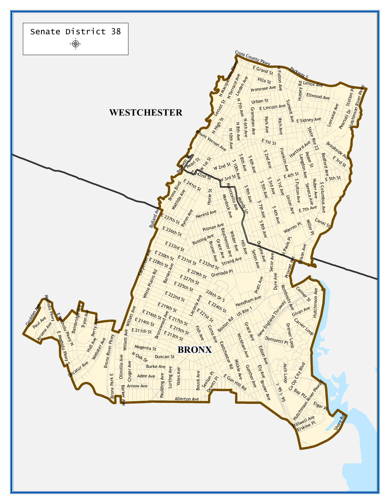